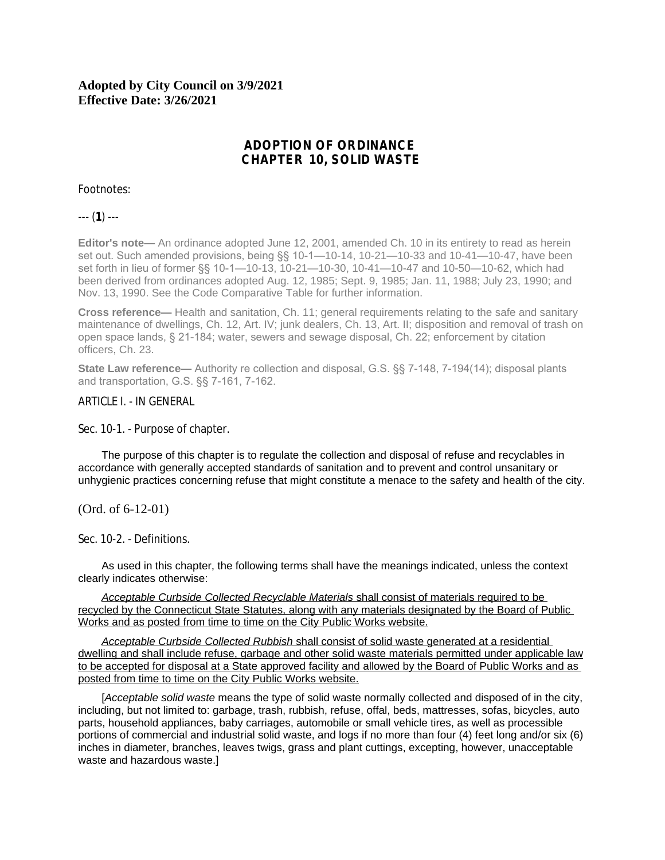# **Adopted by City Council on 3/9/2021 Effective Date: 3/26/2021**

# **ADOPTION OF ORDINANCE CHAPTER 10, SOLID WASTE**

## Footnotes:

--- (**1**) ---

**Editor's note—** An ordinance adopted June 12, 2001, amended Ch. 10 in its entirety to read as herein set out. Such amended provisions, being §§ 10-1—10-14, 10-21—10-33 and 10-41—10-47, have been set forth in lieu of former §§ 10-1—10-13, 10-21—10-30, 10-41—10-47 and 10-50—10-62, which had been derived from ordinances adopted Aug. 12, 1985; Sept. 9, 1985; Jan. 11, 1988; July 23, 1990; and Nov. 13, 1990. See the Code Comparative Table for further information.

**Cross reference—** Health and sanitation, Ch. 11; general requirements relating to the safe and sanitary maintenance of dwellings, Ch. 12, Art. IV; junk dealers, Ch. 13, Art. II; disposition and removal of trash on open space lands, § 21-184; water, sewers and sewage disposal, Ch. 22; enforcement by citation officers, Ch. 23.

**State Law reference—** Authority re collection and disposal, G.S. §§ 7-148, 7-194(14); disposal plants and transportation, G.S. §§ 7-161, 7-162.

ARTICLE I. - IN GENERAL

Sec. 10-1. - Purpose of chapter.

The purpose of this chapter is to regulate the collection and disposal of refuse and recyclables in accordance with generally accepted standards of sanitation and to prevent and control unsanitary or unhygienic practices concerning refuse that might constitute a menace to the safety and health of the city.

(Ord. of 6-12-01)

Sec. 10-2. - Definitions.

As used in this chapter, the following terms shall have the meanings indicated, unless the context clearly indicates otherwise:

*Acceptable Curbside Collected Recyclable Materials* shall consist of materials required to be recycled by the Connecticut State Statutes, along with any materials designated by the Board of Public Works and as posted from time to time on the City Public Works website.

*Acceptable Curbside Collected Rubbish* shall consist of solid waste generated at a residential dwelling and shall include refuse, garbage and other solid waste materials permitted under applicable law to be accepted for disposal at a State approved facility and allowed by the Board of Public Works and as posted from time to time on the City Public Works website.

[*Acceptable solid waste* means the type of solid waste normally collected and disposed of in the city, including, but not limited to: garbage, trash, rubbish, refuse, offal, beds, mattresses, sofas, bicycles, auto parts, household appliances, baby carriages, automobile or small vehicle tires, as well as processible portions of commercial and industrial solid waste, and logs if no more than four (4) feet long and/or six (6) inches in diameter, branches, leaves twigs, grass and plant cuttings, excepting, however, unacceptable waste and hazardous waste.]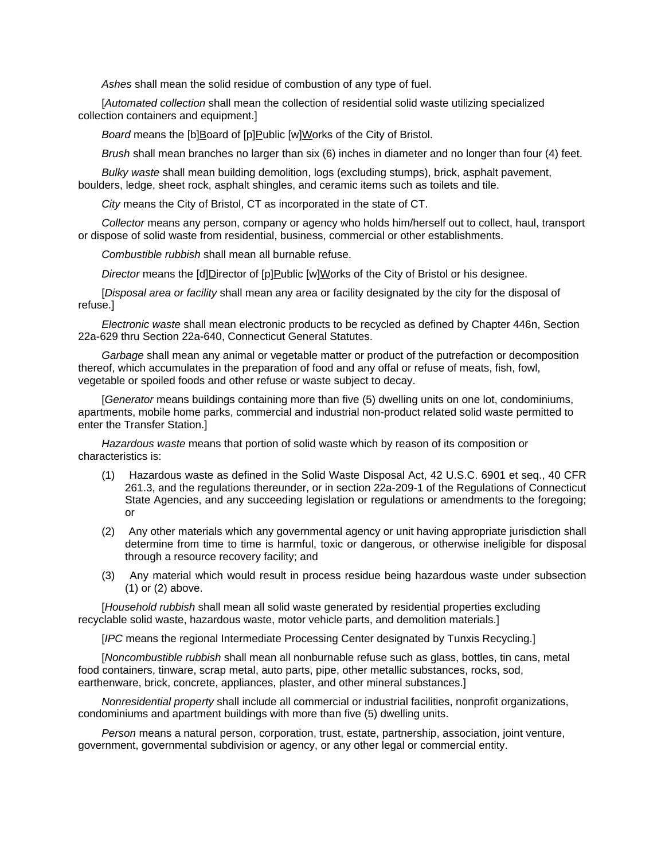*Ashes* shall mean the solid residue of combustion of any type of fuel.

[*Automated collection* shall mean the collection of residential solid waste utilizing specialized collection containers and equipment.]

**Board means the [b]Board of [p]Public [w]Works of the City of Bristol.** 

*Brush* shall mean branches no larger than six (6) inches in diameter and no longer than four (4) feet.

*Bulky waste* shall mean building demolition, logs (excluding stumps), brick, asphalt pavement, boulders, ledge, sheet rock, asphalt shingles, and ceramic items such as toilets and tile.

*City* means the City of Bristol, CT as incorporated in the state of CT.

*Collector* means any person, company or agency who holds him/herself out to collect, haul, transport or dispose of solid waste from residential, business, commercial or other establishments.

*Combustible rubbish* shall mean all burnable refuse.

*Director* means the [d]Director of [p]Public [w]Works of the City of Bristol or his designee.

[*Disposal area or facility* shall mean any area or facility designated by the city for the disposal of refuse.]

*Electronic waste* shall mean electronic products to be recycled as defined by Chapter 446n, Section 22a-629 thru Section 22a-640, Connecticut General Statutes.

*Garbage* shall mean any animal or vegetable matter or product of the putrefaction or decomposition thereof, which accumulates in the preparation of food and any offal or refuse of meats, fish, fowl, vegetable or spoiled foods and other refuse or waste subject to decay.

[*Generator* means buildings containing more than five (5) dwelling units on one lot, condominiums, apartments, mobile home parks, commercial and industrial non-product related solid waste permitted to enter the Transfer Station.]

*Hazardous waste* means that portion of solid waste which by reason of its composition or characteristics is:

- (1) Hazardous waste as defined in the Solid Waste Disposal Act, 42 U.S.C. 6901 et seq., 40 CFR 261.3, and the regulations thereunder, or in section 22a-209-1 of the Regulations of Connecticut State Agencies, and any succeeding legislation or regulations or amendments to the foregoing; or
- (2) Any other materials which any governmental agency or unit having appropriate jurisdiction shall determine from time to time is harmful, toxic or dangerous, or otherwise ineligible for disposal through a resource recovery facility; and
- (3) Any material which would result in process residue being hazardous waste under subsection (1) or (2) above.

[*Household rubbish* shall mean all solid waste generated by residential properties excluding recyclable solid waste, hazardous waste, motor vehicle parts, and demolition materials.]

[*IPC* means the regional Intermediate Processing Center designated by Tunxis Recycling.]

[*Noncombustible rubbish* shall mean all nonburnable refuse such as glass, bottles, tin cans, metal food containers, tinware, scrap metal, auto parts, pipe, other metallic substances, rocks, sod, earthenware, brick, concrete, appliances, plaster, and other mineral substances.]

*Nonresidential property* shall include all commercial or industrial facilities, nonprofit organizations, condominiums and apartment buildings with more than five (5) dwelling units.

*Person* means a natural person, corporation, trust, estate, partnership, association, joint venture, government, governmental subdivision or agency, or any other legal or commercial entity.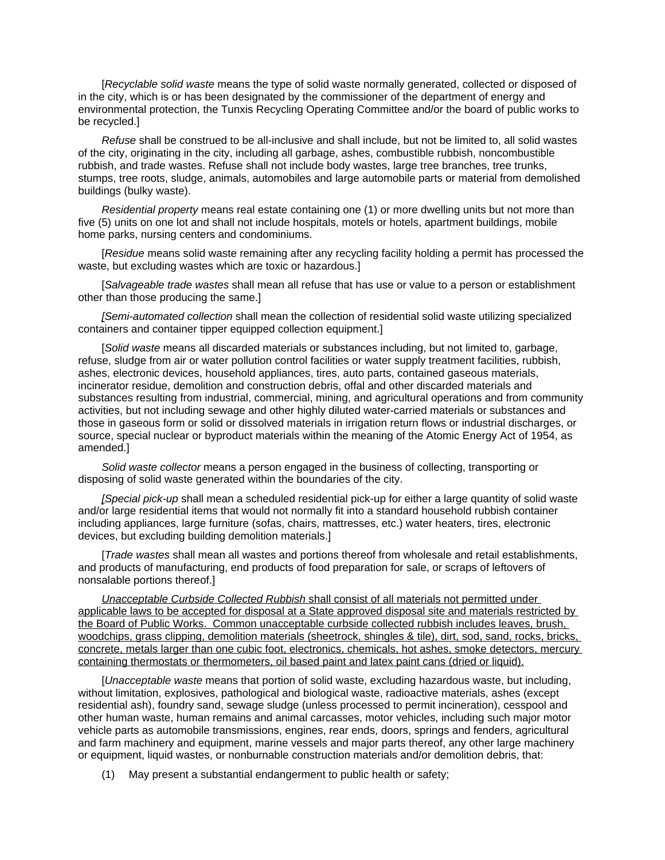[*Recyclable solid waste* means the type of solid waste normally generated, collected or disposed of in the city, which is or has been designated by the commissioner of the department of energy and environmental protection, the Tunxis Recycling Operating Committee and/or the board of public works to be recycled.]

*Refuse* shall be construed to be all-inclusive and shall include, but not be limited to, all solid wastes of the city, originating in the city, including all garbage, ashes, combustible rubbish, noncombustible rubbish, and trade wastes. Refuse shall not include body wastes, large tree branches, tree trunks, stumps, tree roots, sludge, animals, automobiles and large automobile parts or material from demolished buildings (bulky waste).

*Residential property* means real estate containing one (1) or more dwelling units but not more than five (5) units on one lot and shall not include hospitals, motels or hotels, apartment buildings, mobile home parks, nursing centers and condominiums.

[*Residue* means solid waste remaining after any recycling facility holding a permit has processed the waste, but excluding wastes which are toxic or hazardous.]

[*Salvageable trade wastes* shall mean all refuse that has use or value to a person or establishment other than those producing the same.]

*[Semi-automated collection* shall mean the collection of residential solid waste utilizing specialized containers and container tipper equipped collection equipment.]

[*Solid waste* means all discarded materials or substances including, but not limited to, garbage, refuse, sludge from air or water pollution control facilities or water supply treatment facilities, rubbish, ashes, electronic devices, household appliances, tires, auto parts, contained gaseous materials, incinerator residue, demolition and construction debris, offal and other discarded materials and substances resulting from industrial, commercial, mining, and agricultural operations and from community activities, but not including sewage and other highly diluted water-carried materials or substances and those in gaseous form or solid or dissolved materials in irrigation return flows or industrial discharges, or source, special nuclear or byproduct materials within the meaning of the Atomic Energy Act of 1954, as amended.]

*Solid waste collector* means a person engaged in the business of collecting, transporting or disposing of solid waste generated within the boundaries of the city.

*[Special pick-up* shall mean a scheduled residential pick-up for either a large quantity of solid waste and/or large residential items that would not normally fit into a standard household rubbish container including appliances, large furniture (sofas, chairs, mattresses, etc.) water heaters, tires, electronic devices, but excluding building demolition materials.]

[*Trade wastes* shall mean all wastes and portions thereof from wholesale and retail establishments, and products of manufacturing, end products of food preparation for sale, or scraps of leftovers of nonsalable portions thereof.]

*Unacceptable Curbside Collected Rubbish* shall consist of all materials not permitted under applicable laws to be accepted for disposal at a State approved disposal site and materials restricted by the Board of Public Works. Common unacceptable curbside collected rubbish includes leaves, brush, woodchips, grass clipping, demolition materials (sheetrock, shingles & tile), dirt, sod, sand, rocks, bricks, concrete, metals larger than one cubic foot, electronics, chemicals, hot ashes, smoke detectors, mercury containing thermostats or thermometers, oil based paint and latex paint cans (dried or liquid).

[*Unacceptable waste* means that portion of solid waste, excluding hazardous waste, but including, without limitation, explosives, pathological and biological waste, radioactive materials, ashes (except residential ash), foundry sand, sewage sludge (unless processed to permit incineration), cesspool and other human waste, human remains and animal carcasses, motor vehicles, including such major motor vehicle parts as automobile transmissions, engines, rear ends, doors, springs and fenders, agricultural and farm machinery and equipment, marine vessels and major parts thereof, any other large machinery or equipment, liquid wastes, or nonburnable construction materials and/or demolition debris, that:

(1) May present a substantial endangerment to public health or safety;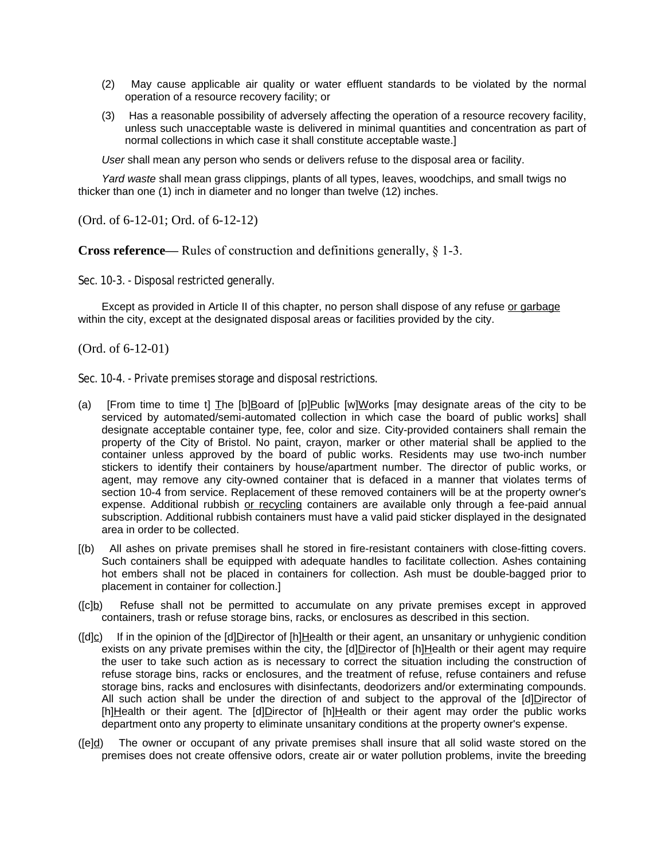- (2) May cause applicable air quality or water effluent standards to be violated by the normal operation of a resource recovery facility; or
- (3) Has a reasonable possibility of adversely affecting the operation of a resource recovery facility, unless such unacceptable waste is delivered in minimal quantities and concentration as part of normal collections in which case it shall constitute acceptable waste.]

*User* shall mean any person who sends or delivers refuse to the disposal area or facility.

*Yard waste* shall mean grass clippings, plants of all types, leaves, woodchips, and small twigs no thicker than one (1) inch in diameter and no longer than twelve (12) inches.

(Ord. of 6-12-01; Ord. of 6-12-12)

**Cross reference—— Rules of construction and definitions generally, § 1-3.** 

Sec. 10-3. - Disposal restricted generally.

Except as provided in Article II of this chapter, no person shall dispose of any refuse or garbage within the city, except at the designated disposal areas or facilities provided by the city.

(Ord. of 6-12-01)

Sec. 10-4. - Private premises storage and disposal restrictions.

- (a) [From time to time t] The [b]Board of [p]Public [w]Works [may designate areas of the city to be serviced by automated/semi-automated collection in which case the board of public works] shall designate acceptable container type, fee, color and size. City-provided containers shall remain the property of the City of Bristol. No paint, crayon, marker or other material shall be applied to the container unless approved by the board of public works. Residents may use two-inch number stickers to identify their containers by house/apartment number. The director of public works, or agent, may remove any city-owned container that is defaced in a manner that violates terms of section 10-4 from service. Replacement of these removed containers will be at the property owner's expense. Additional rubbish or recycling containers are available only through a fee-paid annual subscription. Additional rubbish containers must have a valid paid sticker displayed in the designated area in order to be collected.
- [(b) All ashes on private premises shall he stored in fire-resistant containers with close-fitting covers. Such containers shall be equipped with adequate handles to facilitate collection. Ashes containing hot embers shall not be placed in containers for collection. Ash must be double-bagged prior to placement in container for collection.]
- ([c]b) Refuse shall not be permitted to accumulate on any private premises except in approved containers, trash or refuse storage bins, racks, or enclosures as described in this section.
- ([d]c) If in the opinion of the [d]Director of [h]Health or their agent, an unsanitary or unhygienic condition exists on any private premises within the city, the  $[d]$ Director of  $[h]$ Health or their agent may require the user to take such action as is necessary to correct the situation including the construction of refuse storage bins, racks or enclosures, and the treatment of refuse, refuse containers and refuse storage bins, racks and enclosures with disinfectants, deodorizers and/or exterminating compounds. All such action shall be under the direction of and subject to the approval of the [d]Director of [h]Health or their agent. The [d]Director of [h]Health or their agent may order the public works department onto any property to eliminate unsanitary conditions at the property owner's expense.
- ([e]d) The owner or occupant of any private premises shall insure that all solid waste stored on the premises does not create offensive odors, create air or water pollution problems, invite the breeding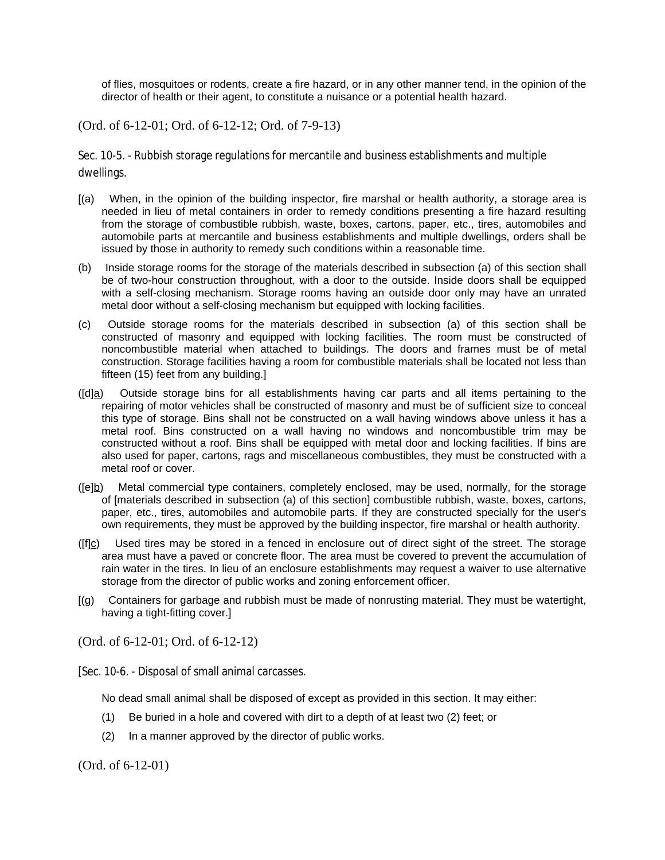of flies, mosquitoes or rodents, create a fire hazard, or in any other manner tend, in the opinion of the director of health or their agent, to constitute a nuisance or a potential health hazard.

(Ord. of 6-12-01; Ord. of 6-12-12; Ord. of 7-9-13)

Sec. 10-5. - Rubbish storage regulations for mercantile and business establishments and multiple dwellings.

- [(a) When, in the opinion of the building inspector, fire marshal or health authority, a storage area is needed in lieu of metal containers in order to remedy conditions presenting a fire hazard resulting from the storage of combustible rubbish, waste, boxes, cartons, paper, etc., tires, automobiles and automobile parts at mercantile and business establishments and multiple dwellings, orders shall be issued by those in authority to remedy such conditions within a reasonable time.
- (b) Inside storage rooms for the storage of the materials described in subsection (a) of this section shall be of two-hour construction throughout, with a door to the outside. Inside doors shall be equipped with a self-closing mechanism. Storage rooms having an outside door only may have an unrated metal door without a self-closing mechanism but equipped with locking facilities.
- (c) Outside storage rooms for the materials described in subsection (a) of this section shall be constructed of masonry and equipped with locking facilities. The room must be constructed of noncombustible material when attached to buildings. The doors and frames must be of metal construction. Storage facilities having a room for combustible materials shall be located not less than fifteen (15) feet from any building.]
- ([d]a) Outside storage bins for all establishments having car parts and all items pertaining to the repairing of motor vehicles shall be constructed of masonry and must be of sufficient size to conceal this type of storage. Bins shall not be constructed on a wall having windows above unless it has a metal roof. Bins constructed on a wall having no windows and noncombustible trim may be constructed without a roof. Bins shall be equipped with metal door and locking facilities. If bins are also used for paper, cartons, rags and miscellaneous combustibles, they must be constructed with a metal roof or cover.
- ([e]b) Metal commercial type containers, completely enclosed, may be used, normally, for the storage of [materials described in subsection (a) of this section] combustible rubbish, waste, boxes, cartons, paper, etc., tires, automobiles and automobile parts. If they are constructed specially for the user's own requirements, they must be approved by the building inspector, fire marshal or health authority.
- $(ff|_C)$  Used tires may be stored in a fenced in enclosure out of direct sight of the street. The storage area must have a paved or concrete floor. The area must be covered to prevent the accumulation of rain water in the tires. In lieu of an enclosure establishments may request a waiver to use alternative storage from the director of public works and zoning enforcement officer.
- [(g) Containers for garbage and rubbish must be made of nonrusting material. They must be watertight, having a tight-fitting cover.]

(Ord. of 6-12-01; Ord. of 6-12-12)

[Sec. 10-6. - Disposal of small animal carcasses.

No dead small animal shall be disposed of except as provided in this section. It may either:

- (1) Be buried in a hole and covered with dirt to a depth of at least two (2) feet; or
- (2) In a manner approved by the director of public works.

(Ord. of 6-12-01)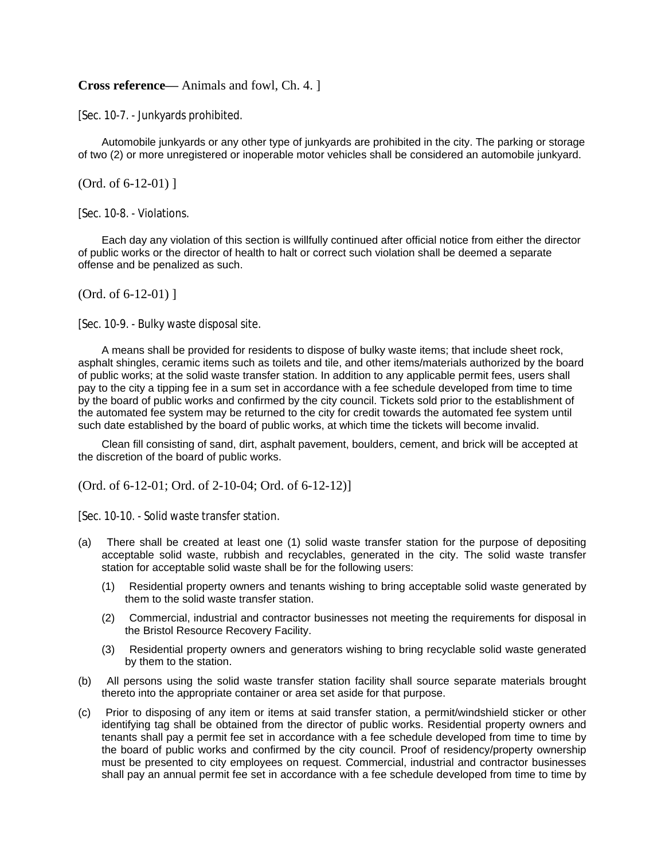### **Cross reference—** Animals and fowl, Ch. 4. ]

[Sec. 10-7. - Junkyards prohibited.

Automobile junkyards or any other type of junkyards are prohibited in the city. The parking or storage of two (2) or more unregistered or inoperable motor vehicles shall be considered an automobile junkyard.

(Ord. of 6-12-01) ]

[Sec. 10-8. - Violations.

Each day any violation of this section is willfully continued after official notice from either the director of public works or the director of health to halt or correct such violation shall be deemed a separate offense and be penalized as such.

(Ord. of 6-12-01) ]

[Sec. 10-9. - Bulky waste disposal site.

A means shall be provided for residents to dispose of bulky waste items; that include sheet rock, asphalt shingles, ceramic items such as toilets and tile, and other items/materials authorized by the board of public works; at the solid waste transfer station. In addition to any applicable permit fees, users shall pay to the city a tipping fee in a sum set in accordance with a fee schedule developed from time to time by the board of public works and confirmed by the city council. Tickets sold prior to the establishment of the automated fee system may be returned to the city for credit towards the automated fee system until such date established by the board of public works, at which time the tickets will become invalid.

Clean fill consisting of sand, dirt, asphalt pavement, boulders, cement, and brick will be accepted at the discretion of the board of public works.

(Ord. of 6-12-01; Ord. of 2-10-04; Ord. of 6-12-12)]

[Sec. 10-10. - Solid waste transfer station.

- (a) There shall be created at least one (1) solid waste transfer station for the purpose of depositing acceptable solid waste, rubbish and recyclables, generated in the city. The solid waste transfer station for acceptable solid waste shall be for the following users:
	- (1) Residential property owners and tenants wishing to bring acceptable solid waste generated by them to the solid waste transfer station.
	- (2) Commercial, industrial and contractor businesses not meeting the requirements for disposal in the Bristol Resource Recovery Facility.
	- (3) Residential property owners and generators wishing to bring recyclable solid waste generated by them to the station.
- (b) All persons using the solid waste transfer station facility shall source separate materials brought thereto into the appropriate container or area set aside for that purpose.
- (c) Prior to disposing of any item or items at said transfer station, a permit/windshield sticker or other identifying tag shall be obtained from the director of public works. Residential property owners and tenants shall pay a permit fee set in accordance with a fee schedule developed from time to time by the board of public works and confirmed by the city council. Proof of residency/property ownership must be presented to city employees on request. Commercial, industrial and contractor businesses shall pay an annual permit fee set in accordance with a fee schedule developed from time to time by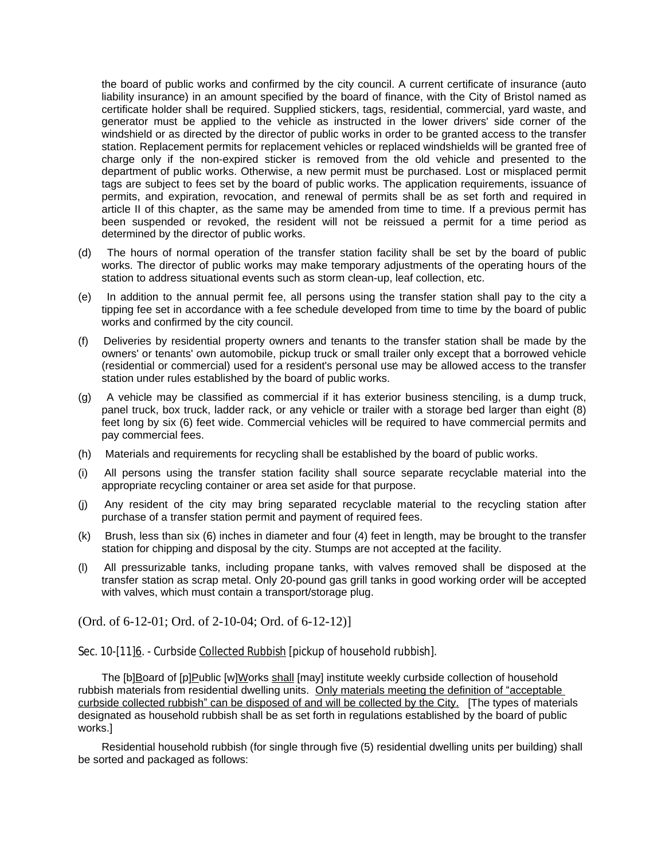the board of public works and confirmed by the city council. A current certificate of insurance (auto liability insurance) in an amount specified by the board of finance, with the City of Bristol named as certificate holder shall be required. Supplied stickers, tags, residential, commercial, yard waste, and generator must be applied to the vehicle as instructed in the lower drivers' side corner of the windshield or as directed by the director of public works in order to be granted access to the transfer station. Replacement permits for replacement vehicles or replaced windshields will be granted free of charge only if the non-expired sticker is removed from the old vehicle and presented to the department of public works. Otherwise, a new permit must be purchased. Lost or misplaced permit tags are subject to fees set by the board of public works. The application requirements, issuance of permits, and expiration, revocation, and renewal of permits shall be as set forth and required in article II of this chapter, as the same may be amended from time to time. If a previous permit has been suspended or revoked, the resident will not be reissued a permit for a time period as determined by the director of public works.

- (d) The hours of normal operation of the transfer station facility shall be set by the board of public works. The director of public works may make temporary adjustments of the operating hours of the station to address situational events such as storm clean-up, leaf collection, etc.
- (e) In addition to the annual permit fee, all persons using the transfer station shall pay to the city a tipping fee set in accordance with a fee schedule developed from time to time by the board of public works and confirmed by the city council.
- (f) Deliveries by residential property owners and tenants to the transfer station shall be made by the owners' or tenants' own automobile, pickup truck or small trailer only except that a borrowed vehicle (residential or commercial) used for a resident's personal use may be allowed access to the transfer station under rules established by the board of public works.
- (g) A vehicle may be classified as commercial if it has exterior business stenciling, is a dump truck, panel truck, box truck, ladder rack, or any vehicle or trailer with a storage bed larger than eight (8) feet long by six (6) feet wide. Commercial vehicles will be required to have commercial permits and pay commercial fees.
- (h) Materials and requirements for recycling shall be established by the board of public works.
- (i) All persons using the transfer station facility shall source separate recyclable material into the appropriate recycling container or area set aside for that purpose.
- (j) Any resident of the city may bring separated recyclable material to the recycling station after purchase of a transfer station permit and payment of required fees.
- (k) Brush, less than six (6) inches in diameter and four (4) feet in length, may be brought to the transfer station for chipping and disposal by the city. Stumps are not accepted at the facility.
- (l) All pressurizable tanks, including propane tanks, with valves removed shall be disposed at the transfer station as scrap metal. Only 20-pound gas grill tanks in good working order will be accepted with valves, which must contain a transport/storage plug.

(Ord. of 6-12-01; Ord. of 2-10-04; Ord. of 6-12-12)]

Sec. 10-[11]6. - Curbside Collected Rubbish [pickup of household rubbish].

The [b]Board of [p]Public [w]Works shall [may] institute weekly curbside collection of household rubbish materials from residential dwelling units. Only materials meeting the definition of "acceptable curbside collected rubbish" can be disposed of and will be collected by the City. [The types of materials designated as household rubbish shall be as set forth in regulations established by the board of public works.]

Residential household rubbish (for single through five (5) residential dwelling units per building) shall be sorted and packaged as follows: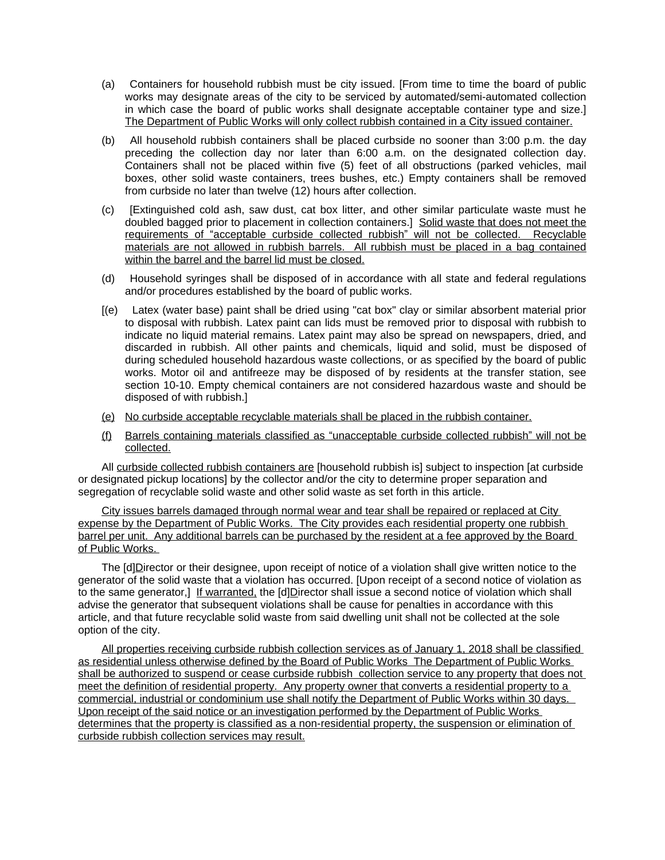- (a) Containers for household rubbish must be city issued. [From time to time the board of public works may designate areas of the city to be serviced by automated/semi-automated collection in which case the board of public works shall designate acceptable container type and size.] The Department of Public Works will only collect rubbish contained in a City issued container.
- (b) All household rubbish containers shall be placed curbside no sooner than 3:00 p.m. the day preceding the collection day nor later than 6:00 a.m. on the designated collection day. Containers shall not be placed within five (5) feet of all obstructions (parked vehicles, mail boxes, other solid waste containers, trees bushes, etc.) Empty containers shall be removed from curbside no later than twelve (12) hours after collection.
- (c) [Extinguished cold ash, saw dust, cat box litter, and other similar particulate waste must he doubled bagged prior to placement in collection containers.] Solid waste that does not meet the requirements of "acceptable curbside collected rubbish" will not be collected. Recyclable materials are not allowed in rubbish barrels. All rubbish must be placed in a bag contained within the barrel and the barrel lid must be closed.
- (d) Household syringes shall be disposed of in accordance with all state and federal regulations and/or procedures established by the board of public works.
- [(e) Latex (water base) paint shall be dried using "cat box" clay or similar absorbent material prior to disposal with rubbish. Latex paint can lids must be removed prior to disposal with rubbish to indicate no liquid material remains. Latex paint may also be spread on newspapers, dried, and discarded in rubbish. All other paints and chemicals, liquid and solid, must be disposed of during scheduled household hazardous waste collections, or as specified by the board of public works. Motor oil and antifreeze may be disposed of by residents at the transfer station, see section 10-10. Empty chemical containers are not considered hazardous waste and should be disposed of with rubbish.]
- (e) No curbside acceptable recyclable materials shall be placed in the rubbish container.
- (f) Barrels containing materials classified as "unacceptable curbside collected rubbish" will not be collected.

All curbside collected rubbish containers are [household rubbish is] subject to inspection [at curbside or designated pickup locations] by the collector and/or the city to determine proper separation and segregation of recyclable solid waste and other solid waste as set forth in this article.

City issues barrels damaged through normal wear and tear shall be repaired or replaced at City expense by the Department of Public Works. The City provides each residential property one rubbish barrel per unit. Any additional barrels can be purchased by the resident at a fee approved by the Board of Public Works.

The [d]Director or their designee, upon receipt of notice of a violation shall give written notice to the generator of the solid waste that a violation has occurred. [Upon receipt of a second notice of violation as to the same generator,] If warranted, the [d]Director shall issue a second notice of violation which shall advise the generator that subsequent violations shall be cause for penalties in accordance with this article, and that future recyclable solid waste from said dwelling unit shall not be collected at the sole option of the city.

All properties receiving curbside rubbish collection services as of January 1, 2018 shall be classified as residential unless otherwise defined by the Board of Public Works The Department of Public Works shall be authorized to suspend or cease curbside rubbish collection service to any property that does not meet the definition of residential property. Any property owner that converts a residential property to a commercial, industrial or condominium use shall notify the Department of Public Works within 30 days. Upon receipt of the said notice or an investigation performed by the Department of Public Works determines that the property is classified as a non-residential property, the suspension or elimination of curbside rubbish collection services may result.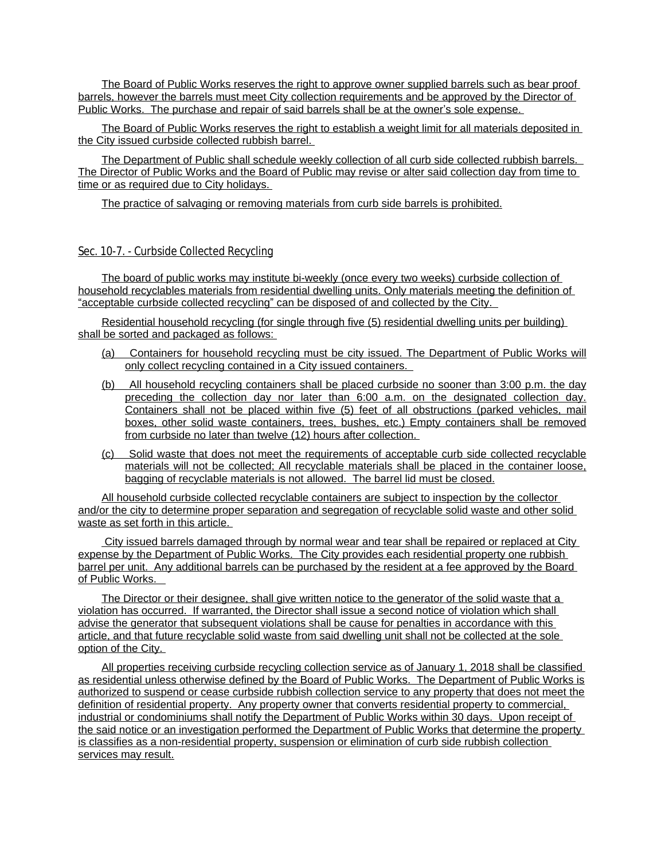The Board of Public Works reserves the right to approve owner supplied barrels such as bear proof barrels, however the barrels must meet City collection requirements and be approved by the Director of Public Works. The purchase and repair of said barrels shall be at the owner's sole expense.

The Board of Public Works reserves the right to establish a weight limit for all materials deposited in the City issued curbside collected rubbish barrel.

The Department of Public shall schedule weekly collection of all curb side collected rubbish barrels. The Director of Public Works and the Board of Public may revise or alter said collection day from time to time or as required due to City holidays.

The practice of salvaging or removing materials from curb side barrels is prohibited.

#### Sec. 10-7. - Curbside Collected Recycling

The board of public works may institute bi-weekly (once every two weeks) curbside collection of household recyclables materials from residential dwelling units. Only materials meeting the definition of "acceptable curbside collected recycling" can be disposed of and collected by the City.

Residential household recycling (for single through five (5) residential dwelling units per building) shall be sorted and packaged as follows:

- (a) Containers for household recycling must be city issued. The Department of Public Works will only collect recycling contained in a City issued containers.
- (b) All household recycling containers shall be placed curbside no sooner than 3:00 p.m. the day preceding the collection day nor later than 6:00 a.m. on the designated collection day. Containers shall not be placed within five (5) feet of all obstructions (parked vehicles, mail boxes, other solid waste containers, trees, bushes, etc.) Empty containers shall be removed from curbside no later than twelve (12) hours after collection.
- (c) Solid waste that does not meet the requirements of acceptable curb side collected recyclable materials will not be collected; All recyclable materials shall be placed in the container loose, bagging of recyclable materials is not allowed. The barrel lid must be closed.

All household curbside collected recyclable containers are subject to inspection by the collector and/or the city to determine proper separation and segregation of recyclable solid waste and other solid waste as set forth in this article.

 City issued barrels damaged through by normal wear and tear shall be repaired or replaced at City expense by the Department of Public Works. The City provides each residential property one rubbish barrel per unit. Any additional barrels can be purchased by the resident at a fee approved by the Board of Public Works.

The Director or their designee, shall give written notice to the generator of the solid waste that a violation has occurred. If warranted, the Director shall issue a second notice of violation which shall advise the generator that subsequent violations shall be cause for penalties in accordance with this article, and that future recyclable solid waste from said dwelling unit shall not be collected at the sole option of the City.

All properties receiving curbside recycling collection service as of January 1, 2018 shall be classified as residential unless otherwise defined by the Board of Public Works. The Department of Public Works is authorized to suspend or cease curbside rubbish collection service to any property that does not meet the definition of residential property. Any property owner that converts residential property to commercial, industrial or condominiums shall notify the Department of Public Works within 30 days. Upon receipt of the said notice or an investigation performed the Department of Public Works that determine the property is classifies as a non-residential property, suspension or elimination of curb side rubbish collection services may result.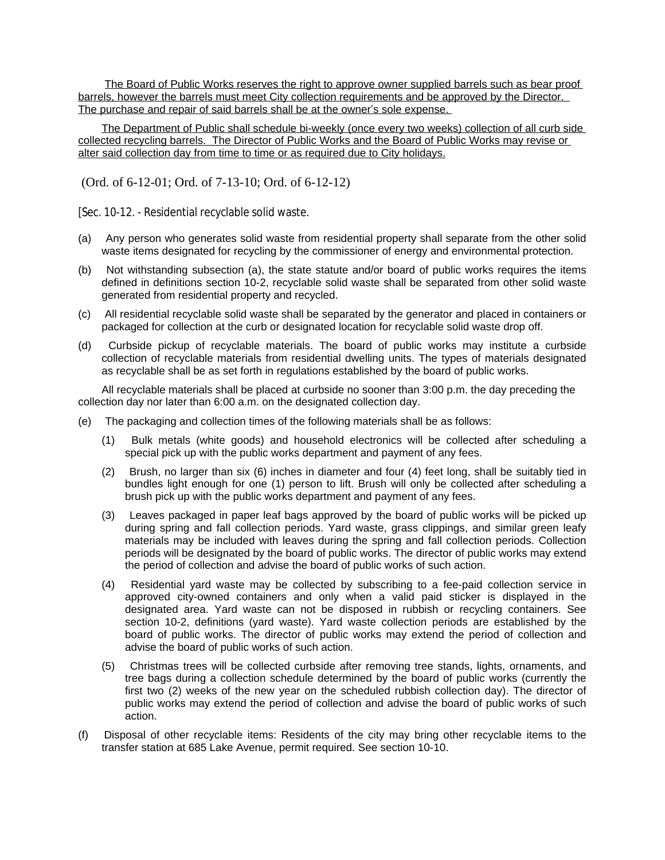The Board of Public Works reserves the right to approve owner supplied barrels such as bear proof barrels, however the barrels must meet City collection requirements and be approved by the Director. The purchase and repair of said barrels shall be at the owner's sole expense.

The Department of Public shall schedule bi-weekly (once every two weeks) collection of all curb side collected recycling barrels. The Director of Public Works and the Board of Public Works may revise or alter said collection day from time to time or as required due to City holidays.

(Ord. of 6-12-01; Ord. of 7-13-10; Ord. of 6-12-12)

[Sec. 10-12. - Residential recyclable solid waste.

- (a) Any person who generates solid waste from residential property shall separate from the other solid waste items designated for recycling by the commissioner of energy and environmental protection.
- (b) Not withstanding subsection (a), the state statute and/or board of public works requires the items defined in definitions section 10-2, recyclable solid waste shall be separated from other solid waste generated from residential property and recycled.
- (c) All residential recyclable solid waste shall be separated by the generator and placed in containers or packaged for collection at the curb or designated location for recyclable solid waste drop off.
- (d) Curbside pickup of recyclable materials. The board of public works may institute a curbside collection of recyclable materials from residential dwelling units. The types of materials designated as recyclable shall be as set forth in regulations established by the board of public works.

All recyclable materials shall be placed at curbside no sooner than 3:00 p.m. the day preceding the collection day nor later than 6:00 a.m. on the designated collection day.

- (e) The packaging and collection times of the following materials shall be as follows:
	- (1) Bulk metals (white goods) and household electronics will be collected after scheduling a special pick up with the public works department and payment of any fees.
	- (2) Brush, no larger than six (6) inches in diameter and four (4) feet long, shall be suitably tied in bundles light enough for one (1) person to lift. Brush will only be collected after scheduling a brush pick up with the public works department and payment of any fees.
	- (3) Leaves packaged in paper leaf bags approved by the board of public works will be picked up during spring and fall collection periods. Yard waste, grass clippings, and similar green leafy materials may be included with leaves during the spring and fall collection periods. Collection periods will be designated by the board of public works. The director of public works may extend the period of collection and advise the board of public works of such action.
	- (4) Residential yard waste may be collected by subscribing to a fee-paid collection service in approved city-owned containers and only when a valid paid sticker is displayed in the designated area. Yard waste can not be disposed in rubbish or recycling containers. See section 10-2, definitions (yard waste). Yard waste collection periods are established by the board of public works. The director of public works may extend the period of collection and advise the board of public works of such action.
	- (5) Christmas trees will be collected curbside after removing tree stands, lights, ornaments, and tree bags during a collection schedule determined by the board of public works (currently the first two (2) weeks of the new year on the scheduled rubbish collection day). The director of public works may extend the period of collection and advise the board of public works of such action.
- (f) Disposal of other recyclable items: Residents of the city may bring other recyclable items to the transfer station at 685 Lake Avenue, permit required. See section 10-10.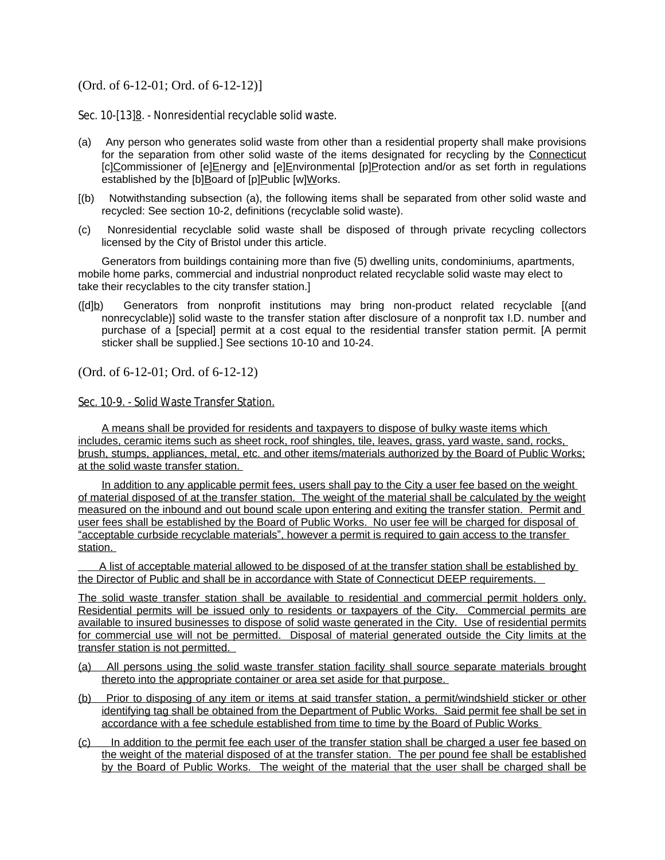# (Ord. of 6-12-01; Ord. of 6-12-12)]

Sec. 10-[13]8. - Nonresidential recyclable solid waste.

- (a) Any person who generates solid waste from other than a residential property shall make provisions for the separation from other solid waste of the items designated for recycling by the Connecticut [c]Commissioner of [e]Energy and [e]Environmental [p]Protection and/or as set forth in regulations established by the [b]Board of [p]Public [w]Works.
- [(b) Notwithstanding subsection (a), the following items shall be separated from other solid waste and recycled: See section 10-2, definitions (recyclable solid waste).
- (c) Nonresidential recyclable solid waste shall be disposed of through private recycling collectors licensed by the City of Bristol under this article.

Generators from buildings containing more than five (5) dwelling units, condominiums, apartments, mobile home parks, commercial and industrial nonproduct related recyclable solid waste may elect to take their recyclables to the city transfer station.]

([d]b) Generators from nonprofit institutions may bring non-product related recyclable [(and nonrecyclable)] solid waste to the transfer station after disclosure of a nonprofit tax I.D. number and purchase of a [special] permit at a cost equal to the residential transfer station permit. [A permit sticker shall be supplied.] See sections 10-10 and 10-24.

(Ord. of 6-12-01; Ord. of 6-12-12)

#### Sec. 10-9. - Solid Waste Transfer Station.

A means shall be provided for residents and taxpayers to dispose of bulky waste items which includes, ceramic items such as sheet rock, roof shingles, tile, leaves, grass, yard waste, sand, rocks, brush, stumps, appliances, metal, etc. and other items/materials authorized by the Board of Public Works; at the solid waste transfer station.

In addition to any applicable permit fees, users shall pay to the City a user fee based on the weight of material disposed of at the transfer station. The weight of the material shall be calculated by the weight measured on the inbound and out bound scale upon entering and exiting the transfer station. Permit and user fees shall be established by the Board of Public Works. No user fee will be charged for disposal of "acceptable curbside recyclable materials", however a permit is required to gain access to the transfer station.

A list of acceptable material allowed to be disposed of at the transfer station shall be established by the Director of Public and shall be in accordance with State of Connecticut DEEP requirements.

The solid waste transfer station shall be available to residential and commercial permit holders only. Residential permits will be issued only to residents or taxpayers of the City. Commercial permits are available to insured businesses to dispose of solid waste generated in the City. Use of residential permits for commercial use will not be permitted. Disposal of material generated outside the City limits at the transfer station is not permitted.

- (a) All persons using the solid waste transfer station facility shall source separate materials brought thereto into the appropriate container or area set aside for that purpose.
- (b) Prior to disposing of any item or items at said transfer station, a permit/windshield sticker or other identifying tag shall be obtained from the Department of Public Works. Said permit fee shall be set in accordance with a fee schedule established from time to time by the Board of Public Works
- (c) In addition to the permit fee each user of the transfer station shall be charged a user fee based on the weight of the material disposed of at the transfer station. The per pound fee shall be established by the Board of Public Works. The weight of the material that the user shall be charged shall be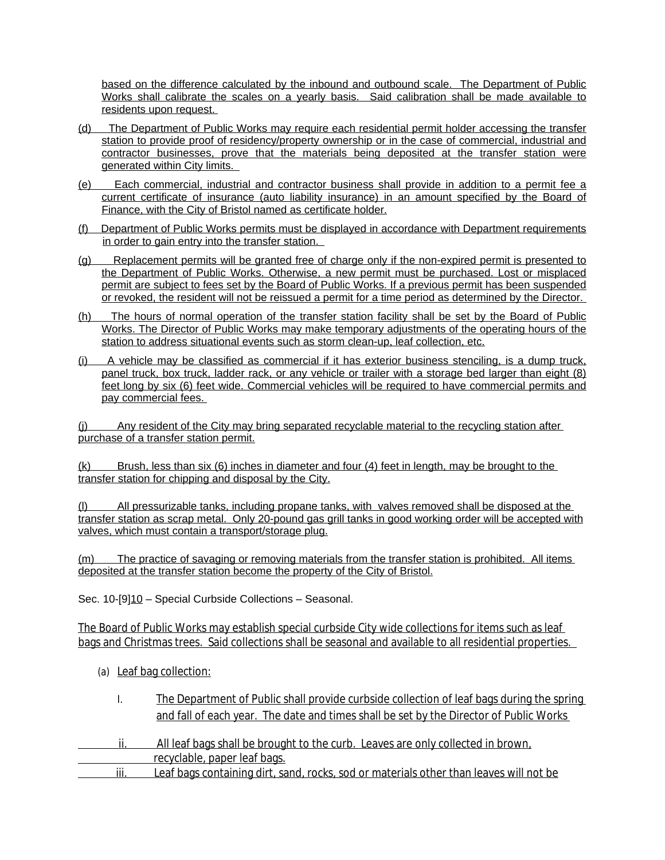based on the difference calculated by the inbound and outbound scale. The Department of Public Works shall calibrate the scales on a yearly basis. Said calibration shall be made available to residents upon request.

- (d) The Department of Public Works may require each residential permit holder accessing the transfer station to provide proof of residency/property ownership or in the case of commercial, industrial and contractor businesses, prove that the materials being deposited at the transfer station were generated within City limits.
- (e) Each commercial, industrial and contractor business shall provide in addition to a permit fee a current certificate of insurance (auto liability insurance) in an amount specified by the Board of Finance, with the City of Bristol named as certificate holder.
- (f) Department of Public Works permits must be displayed in accordance with Department requirements in order to gain entry into the transfer station.
- (g) Replacement permits will be granted free of charge only if the non-expired permit is presented to the Department of Public Works. Otherwise, a new permit must be purchased. Lost or misplaced permit are subject to fees set by the Board of Public Works. If a previous permit has been suspended or revoked, the resident will not be reissued a permit for a time period as determined by the Director.
- (h) The hours of normal operation of the transfer station facility shall be set by the Board of Public Works. The Director of Public Works may make temporary adjustments of the operating hours of the station to address situational events such as storm clean-up, leaf collection, etc.
- (i) A vehicle may be classified as commercial if it has exterior business stenciling, is a dump truck, panel truck, box truck, ladder rack, or any vehicle or trailer with a storage bed larger than eight (8) feet long by six (6) feet wide. Commercial vehicles will be required to have commercial permits and pay commercial fees.

(j) Any resident of the City may bring separated recyclable material to the recycling station after purchase of a transfer station permit.

(k) Brush, less than six (6) inches in diameter and four (4) feet in length, may be brought to the transfer station for chipping and disposal by the City.

(l) All pressurizable tanks, including propane tanks, with valves removed shall be disposed at the transfer station as scrap metal. Only 20-pound gas grill tanks in good working order will be accepted with valves, which must contain a transport/storage plug.

(m) The practice of savaging or removing materials from the transfer station is prohibited. All items deposited at the transfer station become the property of the City of Bristol.

Sec. 10-[9]10 – Special Curbside Collections – Seasonal.

The Board of Public Works may establish special curbside City wide collections for items such as leaf bags and Christmas trees. Said collections shall be seasonal and available to all residential properties.

- (a) Leaf bag collection:
	- I. The Department of Public shall provide curbside collection of leaf bags during the spring and fall of each year. The date and times shall be set by the Director of Public Works
- ii. All leaf bags shall be brought to the curb. Leaves are only collected in brown, recyclable, paper leaf bags.
- iii. Leaf bags containing dirt, sand, rocks, sod or materials other than leaves will not be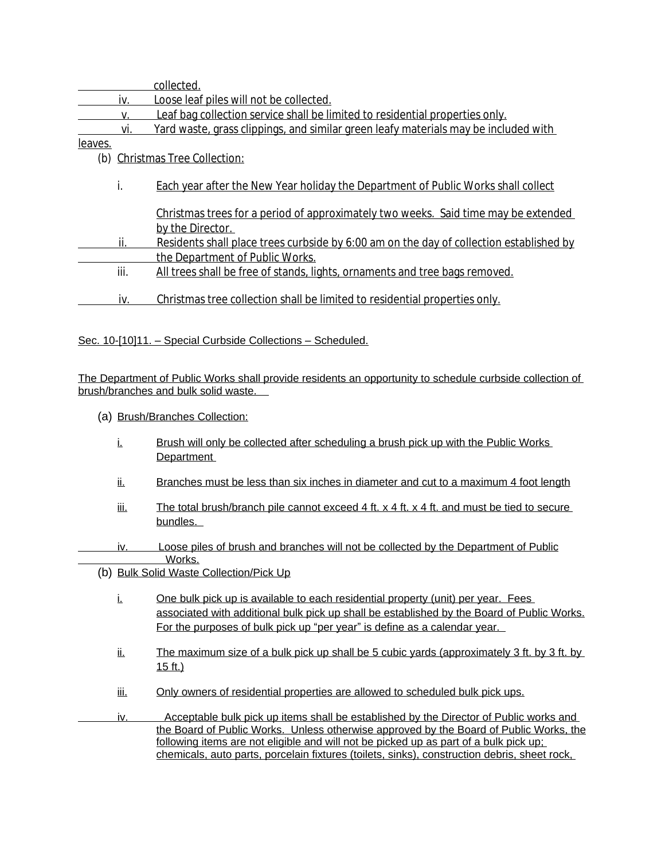|                |      | collected.                                                                              |
|----------------|------|-----------------------------------------------------------------------------------------|
|                | iv.  | Loose leaf piles will not be collected.                                                 |
|                | V.   | Leaf bag collection service shall be limited to residential properties only.            |
|                | vi.  | Yard waste, grass clippings, and similar green leafy materials may be included with     |
| <u>leaves.</u> |      |                                                                                         |
| (b)            |      | <b>Christmas Tree Collection:</b>                                                       |
|                |      |                                                                                         |
|                | i.   | Each year after the New Year holiday the Department of Public Works shall collect       |
|                |      |                                                                                         |
|                |      | Christmas trees for a period of approximately two weeks. Said time may be extended      |
|                |      | by the Director.                                                                        |
|                | ii.  | Residents shall place trees curbside by 6:00 am on the day of collection established by |
|                |      | the Department of Public Works.                                                         |
|                | iii. | All trees shall be free of stands, lights, ornaments and tree bags removed.             |
|                |      |                                                                                         |
|                | iv.  | Christmas tree collection shall be limited to residential properties only.              |
|                |      |                                                                                         |

Sec. 10-[10]11. – Special Curbside Collections – Scheduled.

The Department of Public Works shall provide residents an opportunity to schedule curbside collection of brush/branches and bulk solid waste.

- (a) Brush/Branches Collection:
	- i. Brush will only be collected after scheduling a brush pick up with the Public Works Department
	- ii. Branches must be less than six inches in diameter and cut to a maximum 4 foot length
	- iii. The total brush/branch pile cannot exceed 4 ft.  $x$  4 ft.  $x$  4 ft. and must be tied to secure bundles.
- iv. Loose piles of brush and branches will not be collected by the Department of Public Works.
	- (b) Bulk Solid Waste Collection/Pick Up
		- i. One bulk pick up is available to each residential property (unit) per year. Fees associated with additional bulk pick up shall be established by the Board of Public Works. For the purposes of bulk pick up "per year" is define as a calendar year.
		- $ii.$  The maximum size of a bulk pick up shall be 5 cubic yards (approximately 3 ft. by 3 ft. by 15 ft.)
		- iii. Only owners of residential properties are allowed to scheduled bulk pick ups.
- iv. Acceptable bulk pick up items shall be established by the Director of Public works and the Board of Public Works. Unless otherwise approved by the Board of Public Works, the following items are not eligible and will not be picked up as part of a bulk pick up; chemicals, auto parts, porcelain fixtures (toilets, sinks), construction debris, sheet rock,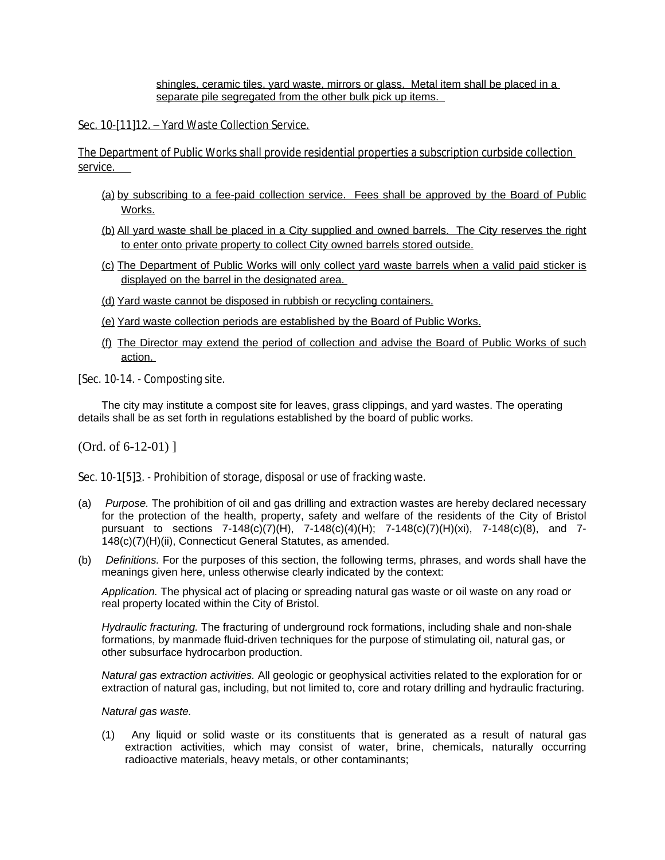shingles, ceramic tiles, yard waste, mirrors or glass. Metal item shall be placed in a separate pile segregated from the other bulk pick up items.

Sec. 10-[11]12. - Yard Waste Collection Service.

The Department of Public Works shall provide residential properties a subscription curbside collection service.

- (a) by subscribing to a fee-paid collection service. Fees shall be approved by the Board of Public Works.
- (b) All yard waste shall be placed in a City supplied and owned barrels. The City reserves the right to enter onto private property to collect City owned barrels stored outside.
- (c) The Department of Public Works will only collect yard waste barrels when a valid paid sticker is displayed on the barrel in the designated area.
- (d) Yard waste cannot be disposed in rubbish or recycling containers.
- (e) Yard waste collection periods are established by the Board of Public Works.
- (f) The Director may extend the period of collection and advise the Board of Public Works of such action.
- [Sec. 10-14. Composting site.

The city may institute a compost site for leaves, grass clippings, and yard wastes. The operating details shall be as set forth in regulations established by the board of public works.

(Ord. of 6-12-01) ]

Sec. 10-1[5]<sup>3</sup>. - Prohibition of storage, disposal or use of fracking waste.

- (a) *Purpose.* The prohibition of oil and gas drilling and extraction wastes are hereby declared necessary for the protection of the health, property, safety and welfare of the residents of the City of Bristol pursuant to sections 7-148(c)(7)(H), 7-148(c)(4)(H); 7-148(c)(7)(H)(xi), 7-148(c)(8), and 7- 148(c)(7)(H)(ii), Connecticut General Statutes, as amended.
- (b) *Definitions.* For the purposes of this section, the following terms, phrases, and words shall have the meanings given here, unless otherwise clearly indicated by the context:

*Application.* The physical act of placing or spreading natural gas waste or oil waste on any road or real property located within the City of Bristol.

*Hydraulic fracturing.* The fracturing of underground rock formations, including shale and non-shale formations, by manmade fluid-driven techniques for the purpose of stimulating oil, natural gas, or other subsurface hydrocarbon production.

*Natural gas extraction activities.* All geologic or geophysical activities related to the exploration for or extraction of natural gas, including, but not limited to, core and rotary drilling and hydraulic fracturing.

*Natural gas waste.*

(1) Any liquid or solid waste or its constituents that is generated as a result of natural gas extraction activities, which may consist of water, brine, chemicals, naturally occurring radioactive materials, heavy metals, or other contaminants;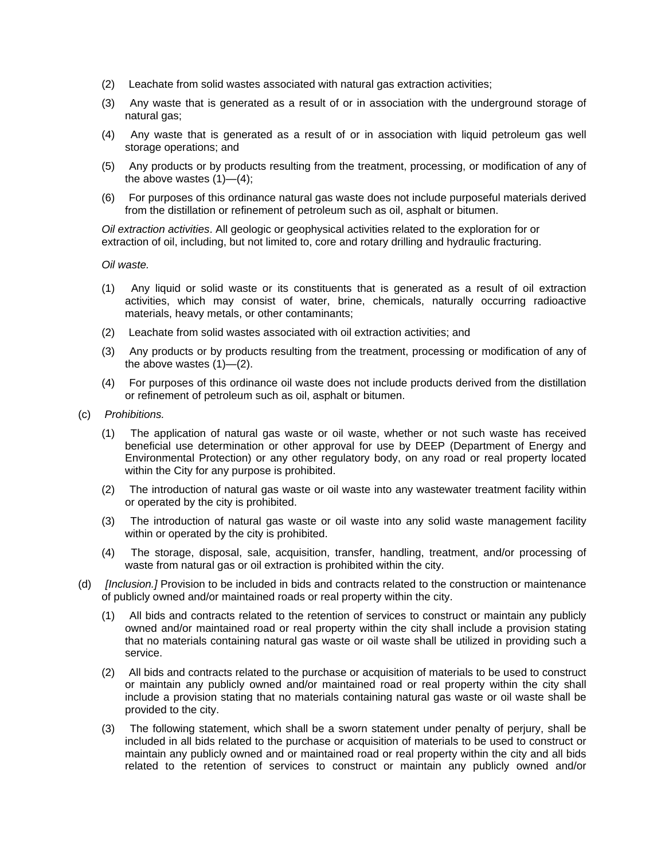- (2) Leachate from solid wastes associated with natural gas extraction activities;
- (3) Any waste that is generated as a result of or in association with the underground storage of natural gas;
- (4) Any waste that is generated as a result of or in association with liquid petroleum gas well storage operations; and
- (5) Any products or by products resulting from the treatment, processing, or modification of any of the above wastes  $(1)$ — $(4)$ ;
- (6) For purposes of this ordinance natural gas waste does not include purposeful materials derived from the distillation or refinement of petroleum such as oil, asphalt or bitumen.

*Oil extraction activities*. All geologic or geophysical activities related to the exploration for or extraction of oil, including, but not limited to, core and rotary drilling and hydraulic fracturing.

*Oil waste.*

- (1) Any liquid or solid waste or its constituents that is generated as a result of oil extraction activities, which may consist of water, brine, chemicals, naturally occurring radioactive materials, heavy metals, or other contaminants;
- (2) Leachate from solid wastes associated with oil extraction activities; and
- (3) Any products or by products resulting from the treatment, processing or modification of any of the above wastes (1)—(2).
- (4) For purposes of this ordinance oil waste does not include products derived from the distillation or refinement of petroleum such as oil, asphalt or bitumen.
- (c) *Prohibitions.*
	- (1) The application of natural gas waste or oil waste, whether or not such waste has received beneficial use determination or other approval for use by DEEP (Department of Energy and Environmental Protection) or any other regulatory body, on any road or real property located within the City for any purpose is prohibited.
	- (2) The introduction of natural gas waste or oil waste into any wastewater treatment facility within or operated by the city is prohibited.
	- (3) The introduction of natural gas waste or oil waste into any solid waste management facility within or operated by the city is prohibited.
	- (4) The storage, disposal, sale, acquisition, transfer, handling, treatment, and/or processing of waste from natural gas or oil extraction is prohibited within the city.
- (d) *[Inclusion.]* Provision to be included in bids and contracts related to the construction or maintenance of publicly owned and/or maintained roads or real property within the city.
	- (1) All bids and contracts related to the retention of services to construct or maintain any publicly owned and/or maintained road or real property within the city shall include a provision stating that no materials containing natural gas waste or oil waste shall be utilized in providing such a service.
	- (2) All bids and contracts related to the purchase or acquisition of materials to be used to construct or maintain any publicly owned and/or maintained road or real property within the city shall include a provision stating that no materials containing natural gas waste or oil waste shall be provided to the city.
	- (3) The following statement, which shall be a sworn statement under penalty of perjury, shall be included in all bids related to the purchase or acquisition of materials to be used to construct or maintain any publicly owned and or maintained road or real property within the city and all bids related to the retention of services to construct or maintain any publicly owned and/or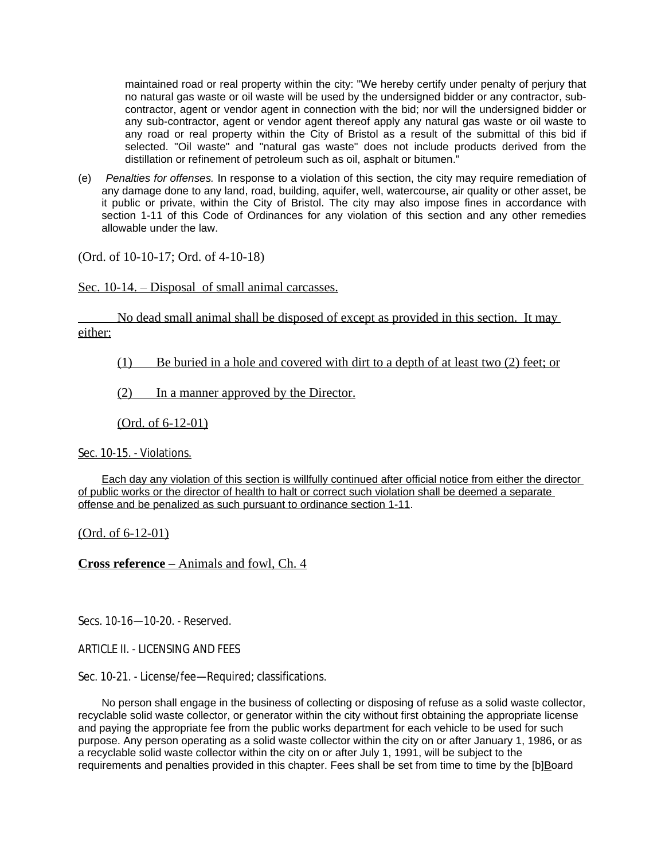maintained road or real property within the city: "We hereby certify under penalty of perjury that no natural gas waste or oil waste will be used by the undersigned bidder or any contractor, subcontractor, agent or vendor agent in connection with the bid; nor will the undersigned bidder or any sub-contractor, agent or vendor agent thereof apply any natural gas waste or oil waste to any road or real property within the City of Bristol as a result of the submittal of this bid if selected. "Oil waste" and "natural gas waste" does not include products derived from the distillation or refinement of petroleum such as oil, asphalt or bitumen."

(e) *Penalties for offenses.* In response to a violation of this section, the city may require remediation of any damage done to any land, road, building, aquifer, well, watercourse, air quality or other asset, be it public or private, within the City of Bristol. The city may also impose fines in accordance with section 1-11 of this Code of Ordinances for any violation of this section and any other remedies allowable under the law.

(Ord. of 10-10-17; Ord. of 4-10-18)

Sec. 10-14. – Disposal of small animal carcasses.

 No dead small animal shall be disposed of except as provided in this section. It may either:

(1) Be buried in a hole and covered with dirt to a depth of at least two (2) feet; or

(2) In a manner approved by the Director.

(Ord. of 6-12-01)

Sec. 10-15. - Violations.

Each day any violation of this section is willfully continued after official notice from either the director of public works or the director of health to halt or correct such violation shall be deemed a separate offense and be penalized as such pursuant to ordinance section 1-11.

(Ord. of 6-12-01)

**Cross reference** – Animals and fowl, Ch. 4

Secs. 10-16—10-20. - Reserved.

ARTICLE II. - LICENSING AND FEES

Sec. 10-21. - License/fee—Required; classifications.

No person shall engage in the business of collecting or disposing of refuse as a solid waste collector, recyclable solid waste collector, or generator within the city without first obtaining the appropriate license and paying the appropriate fee from the public works department for each vehicle to be used for such purpose. Any person operating as a solid waste collector within the city on or after January 1, 1986, or as a recyclable solid waste collector within the city on or after July 1, 1991, will be subject to the requirements and penalties provided in this chapter. Fees shall be set from time to time by the [b]Board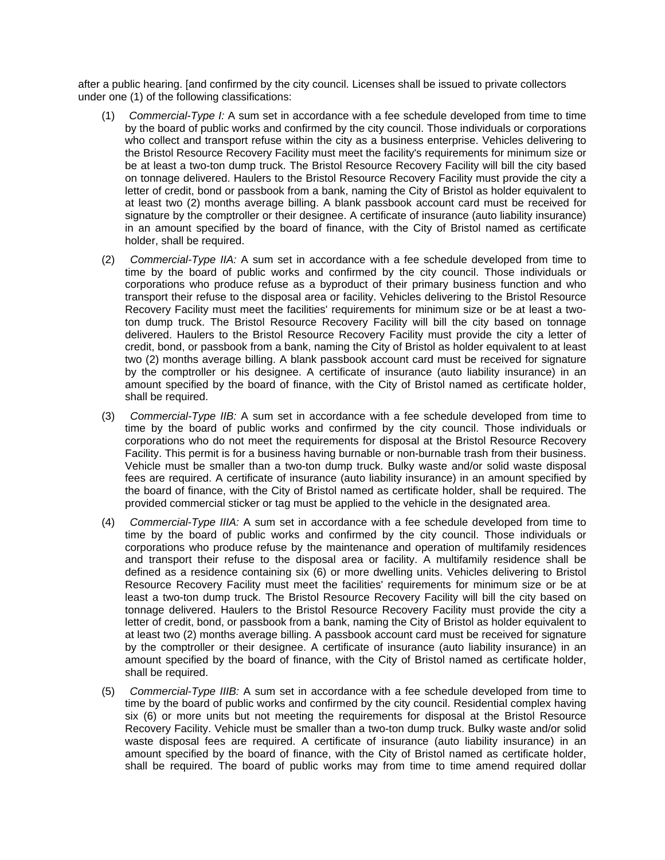after a public hearing. [and confirmed by the city council. Licenses shall be issued to private collectors under one (1) of the following classifications:

- (1) *Commercial-Type I:* A sum set in accordance with a fee schedule developed from time to time by the board of public works and confirmed by the city council. Those individuals or corporations who collect and transport refuse within the city as a business enterprise. Vehicles delivering to the Bristol Resource Recovery Facility must meet the facility's requirements for minimum size or be at least a two-ton dump truck. The Bristol Resource Recovery Facility will bill the city based on tonnage delivered. Haulers to the Bristol Resource Recovery Facility must provide the city a letter of credit, bond or passbook from a bank, naming the City of Bristol as holder equivalent to at least two (2) months average billing. A blank passbook account card must be received for signature by the comptroller or their designee. A certificate of insurance (auto liability insurance) in an amount specified by the board of finance, with the City of Bristol named as certificate holder, shall be required.
- (2) *Commercial-Type IIA:* A sum set in accordance with a fee schedule developed from time to time by the board of public works and confirmed by the city council. Those individuals or corporations who produce refuse as a byproduct of their primary business function and who transport their refuse to the disposal area or facility. Vehicles delivering to the Bristol Resource Recovery Facility must meet the facilities' requirements for minimum size or be at least a twoton dump truck. The Bristol Resource Recovery Facility will bill the city based on tonnage delivered. Haulers to the Bristol Resource Recovery Facility must provide the city a letter of credit, bond, or passbook from a bank, naming the City of Bristol as holder equivalent to at least two (2) months average billing. A blank passbook account card must be received for signature by the comptroller or his designee. A certificate of insurance (auto liability insurance) in an amount specified by the board of finance, with the City of Bristol named as certificate holder, shall be required.
- (3) *Commercial-Type IIB:* A sum set in accordance with a fee schedule developed from time to time by the board of public works and confirmed by the city council. Those individuals or corporations who do not meet the requirements for disposal at the Bristol Resource Recovery Facility. This permit is for a business having burnable or non-burnable trash from their business. Vehicle must be smaller than a two-ton dump truck. Bulky waste and/or solid waste disposal fees are required. A certificate of insurance (auto liability insurance) in an amount specified by the board of finance, with the City of Bristol named as certificate holder, shall be required. The provided commercial sticker or tag must be applied to the vehicle in the designated area.
- (4) *Commercial-Type IIIA:* A sum set in accordance with a fee schedule developed from time to time by the board of public works and confirmed by the city council. Those individuals or corporations who produce refuse by the maintenance and operation of multifamily residences and transport their refuse to the disposal area or facility. A multifamily residence shall be defined as a residence containing six (6) or more dwelling units. Vehicles delivering to Bristol Resource Recovery Facility must meet the facilities' requirements for minimum size or be at least a two-ton dump truck. The Bristol Resource Recovery Facility will bill the city based on tonnage delivered. Haulers to the Bristol Resource Recovery Facility must provide the city a letter of credit, bond, or passbook from a bank, naming the City of Bristol as holder equivalent to at least two (2) months average billing. A passbook account card must be received for signature by the comptroller or their designee. A certificate of insurance (auto liability insurance) in an amount specified by the board of finance, with the City of Bristol named as certificate holder, shall be required.
- (5) *Commercial-Type IIIB:* A sum set in accordance with a fee schedule developed from time to time by the board of public works and confirmed by the city council. Residential complex having six (6) or more units but not meeting the requirements for disposal at the Bristol Resource Recovery Facility. Vehicle must be smaller than a two-ton dump truck. Bulky waste and/or solid waste disposal fees are required. A certificate of insurance (auto liability insurance) in an amount specified by the board of finance, with the City of Bristol named as certificate holder, shall be required. The board of public works may from time to time amend required dollar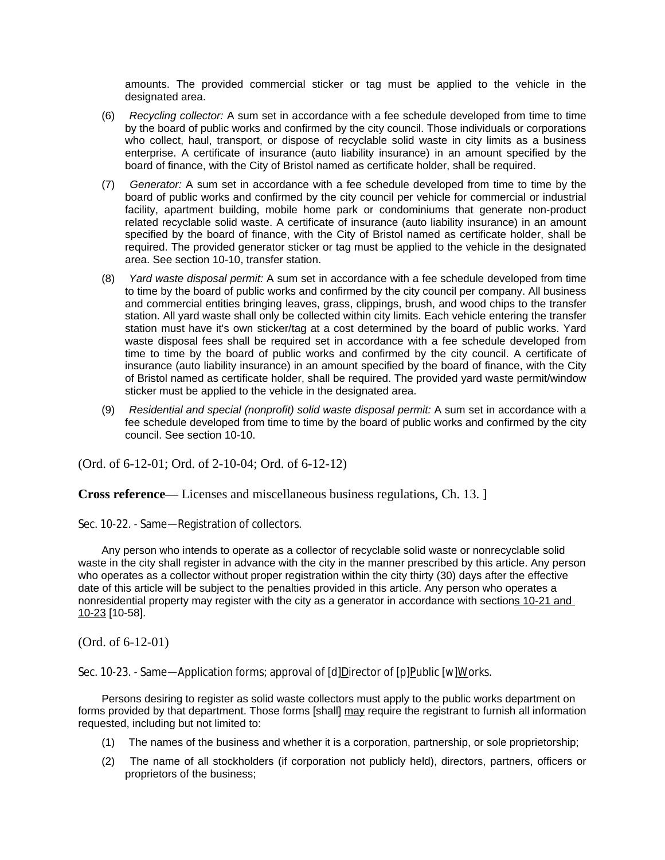amounts. The provided commercial sticker or tag must be applied to the vehicle in the designated area.

- (6) *Recycling collector:* A sum set in accordance with a fee schedule developed from time to time by the board of public works and confirmed by the city council. Those individuals or corporations who collect, haul, transport, or dispose of recyclable solid waste in city limits as a business enterprise. A certificate of insurance (auto liability insurance) in an amount specified by the board of finance, with the City of Bristol named as certificate holder, shall be required.
- (7) *Generator:* A sum set in accordance with a fee schedule developed from time to time by the board of public works and confirmed by the city council per vehicle for commercial or industrial facility, apartment building, mobile home park or condominiums that generate non-product related recyclable solid waste. A certificate of insurance (auto liability insurance) in an amount specified by the board of finance, with the City of Bristol named as certificate holder, shall be required. The provided generator sticker or tag must be applied to the vehicle in the designated area. See section 10-10, transfer station.
- (8) *Yard waste disposal permit:* A sum set in accordance with a fee schedule developed from time to time by the board of public works and confirmed by the city council per company. All business and commercial entities bringing leaves, grass, clippings, brush, and wood chips to the transfer station. All yard waste shall only be collected within city limits. Each vehicle entering the transfer station must have it's own sticker/tag at a cost determined by the board of public works. Yard waste disposal fees shall be required set in accordance with a fee schedule developed from time to time by the board of public works and confirmed by the city council. A certificate of insurance (auto liability insurance) in an amount specified by the board of finance, with the City of Bristol named as certificate holder, shall be required. The provided yard waste permit/window sticker must be applied to the vehicle in the designated area.
- (9) *Residential and special (nonprofit) solid waste disposal permit:* A sum set in accordance with a fee schedule developed from time to time by the board of public works and confirmed by the city council. See section 10-10.

(Ord. of 6-12-01; Ord. of 2-10-04; Ord. of 6-12-12)

**Cross reference—** Licenses and miscellaneous business regulations, Ch. 13. ]

Sec. 10-22. - Same—Registration of collectors.

Any person who intends to operate as a collector of recyclable solid waste or nonrecyclable solid waste in the city shall register in advance with the city in the manner prescribed by this article. Any person who operates as a collector without proper registration within the city thirty (30) days after the effective date of this article will be subject to the penalties provided in this article. Any person who operates a nonresidential property may register with the city as a generator in accordance with sections 10-21 and 10-23 [10-58].

(Ord. of 6-12-01)

Sec. 10-23. - Same—Application forms; approval of [d]Director of [p]Public [w]Works.

Persons desiring to register as solid waste collectors must apply to the public works department on forms provided by that department. Those forms [shall] may require the registrant to furnish all information requested, including but not limited to:

- (1) The names of the business and whether it is a corporation, partnership, or sole proprietorship;
- (2) The name of all stockholders (if corporation not publicly held), directors, partners, officers or proprietors of the business;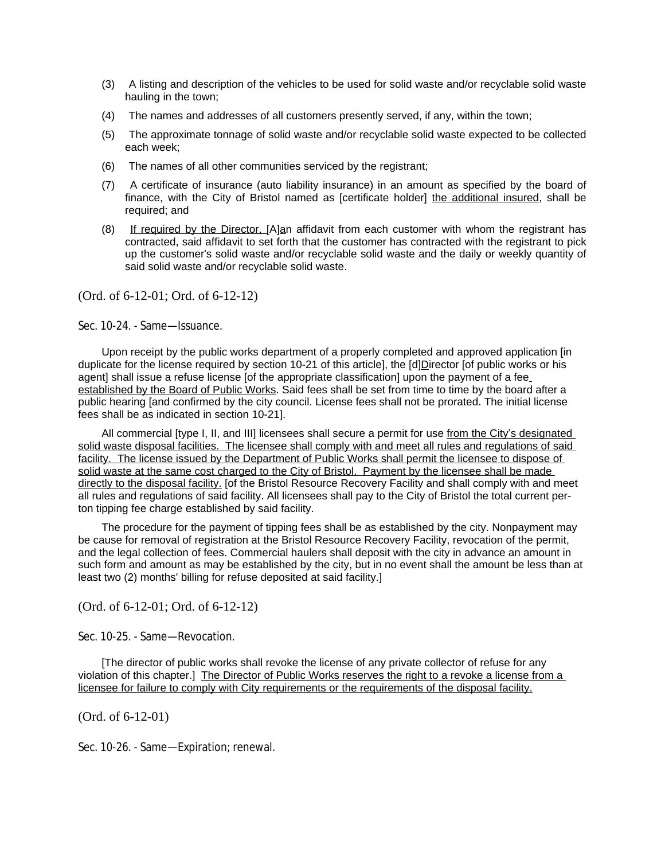- (3) A listing and description of the vehicles to be used for solid waste and/or recyclable solid waste hauling in the town;
- (4) The names and addresses of all customers presently served, if any, within the town;
- (5) The approximate tonnage of solid waste and/or recyclable solid waste expected to be collected each week;
- (6) The names of all other communities serviced by the registrant;
- (7) A certificate of insurance (auto liability insurance) in an amount as specified by the board of finance, with the City of Bristol named as [certificate holder] the additional insured, shall be required; and
- (8) If required by the Director, [A]an affidavit from each customer with whom the registrant has contracted, said affidavit to set forth that the customer has contracted with the registrant to pick up the customer's solid waste and/or recyclable solid waste and the daily or weekly quantity of said solid waste and/or recyclable solid waste.

(Ord. of 6-12-01; Ord. of 6-12-12)

Sec. 10-24. - Same—Issuance.

Upon receipt by the public works department of a properly completed and approved application [in duplicate for the license required by section 10-21 of this article], the [d]Director [of public works or his agent] shall issue a refuse license [of the appropriate classification] upon the payment of a fee established by the Board of Public Works. Said fees shall be set from time to time by the board after a public hearing [and confirmed by the city council. License fees shall not be prorated. The initial license fees shall be as indicated in section 10-21].

All commercial [type I, II, and III] licensees shall secure a permit for use from the City's designated solid waste disposal facilities. The licensee shall comply with and meet all rules and regulations of said facility. The license issued by the Department of Public Works shall permit the licensee to dispose of solid waste at the same cost charged to the City of Bristol. Payment by the licensee shall be made directly to the disposal facility. [of the Bristol Resource Recovery Facility and shall comply with and meet all rules and regulations of said facility. All licensees shall pay to the City of Bristol the total current perton tipping fee charge established by said facility.

The procedure for the payment of tipping fees shall be as established by the city. Nonpayment may be cause for removal of registration at the Bristol Resource Recovery Facility, revocation of the permit, and the legal collection of fees. Commercial haulers shall deposit with the city in advance an amount in such form and amount as may be established by the city, but in no event shall the amount be less than at least two (2) months' billing for refuse deposited at said facility.]

(Ord. of 6-12-01; Ord. of 6-12-12)

Sec. 10-25. - Same—Revocation.

[The director of public works shall revoke the license of any private collector of refuse for any violation of this chapter.] The Director of Public Works reserves the right to a revoke a license from a licensee for failure to comply with City requirements or the requirements of the disposal facility.

(Ord. of 6-12-01)

Sec. 10-26. - Same—Expiration; renewal.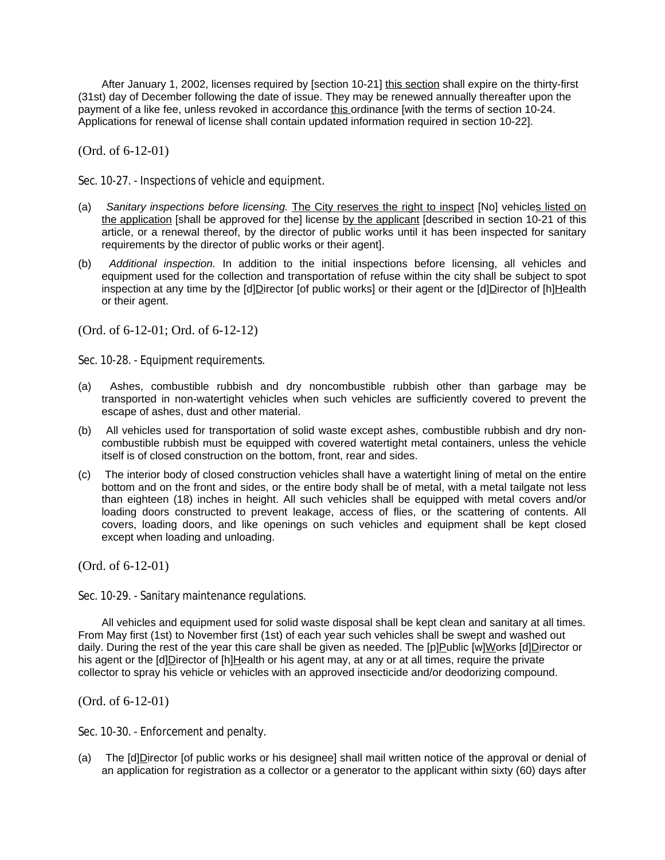After January 1, 2002, licenses required by [section 10-21] this section shall expire on the thirty-first (31st) day of December following the date of issue. They may be renewed annually thereafter upon the payment of a like fee, unless revoked in accordance this ordinance [with the terms of section 10-24. Applications for renewal of license shall contain updated information required in section 10-22].

(Ord. of 6-12-01)

Sec. 10-27. - Inspections of vehicle and equipment.

- (a) *Sanitary inspections before licensing.* The City reserves the right to inspect [No] vehicles listed on the application [shall be approved for the] license by the applicant [described in section 10-21 of this article, or a renewal thereof, by the director of public works until it has been inspected for sanitary requirements by the director of public works or their agent].
- (b) *Additional inspection.* In addition to the initial inspections before licensing, all vehicles and equipment used for the collection and transportation of refuse within the city shall be subject to spot inspection at any time by the [d]Director [of public works] or their agent or the [d]Director of [h]Health or their agent.

(Ord. of 6-12-01; Ord. of 6-12-12)

Sec. 10-28. - Equipment requirements.

- (a) Ashes, combustible rubbish and dry noncombustible rubbish other than garbage may be transported in non-watertight vehicles when such vehicles are sufficiently covered to prevent the escape of ashes, dust and other material.
- (b) All vehicles used for transportation of solid waste except ashes, combustible rubbish and dry noncombustible rubbish must be equipped with covered watertight metal containers, unless the vehicle itself is of closed construction on the bottom, front, rear and sides.
- (c) The interior body of closed construction vehicles shall have a watertight lining of metal on the entire bottom and on the front and sides, or the entire body shall be of metal, with a metal tailgate not less than eighteen (18) inches in height. All such vehicles shall be equipped with metal covers and/or loading doors constructed to prevent leakage, access of flies, or the scattering of contents. All covers, loading doors, and like openings on such vehicles and equipment shall be kept closed except when loading and unloading.

(Ord. of 6-12-01)

Sec. 10-29. - Sanitary maintenance regulations.

All vehicles and equipment used for solid waste disposal shall be kept clean and sanitary at all times. From May first (1st) to November first (1st) of each year such vehicles shall be swept and washed out daily. During the rest of the year this care shall be given as needed. The [p]Public [w]Works [d]Director or his agent or the  $[d]$ Director of  $[h]$ Health or his agent may, at any or at all times, require the private collector to spray his vehicle or vehicles with an approved insecticide and/or deodorizing compound.

(Ord. of 6-12-01)

Sec. 10-30. - Enforcement and penalty.

(a) The [d]Director [of public works or his designee] shall mail written notice of the approval or denial of an application for registration as a collector or a generator to the applicant within sixty (60) days after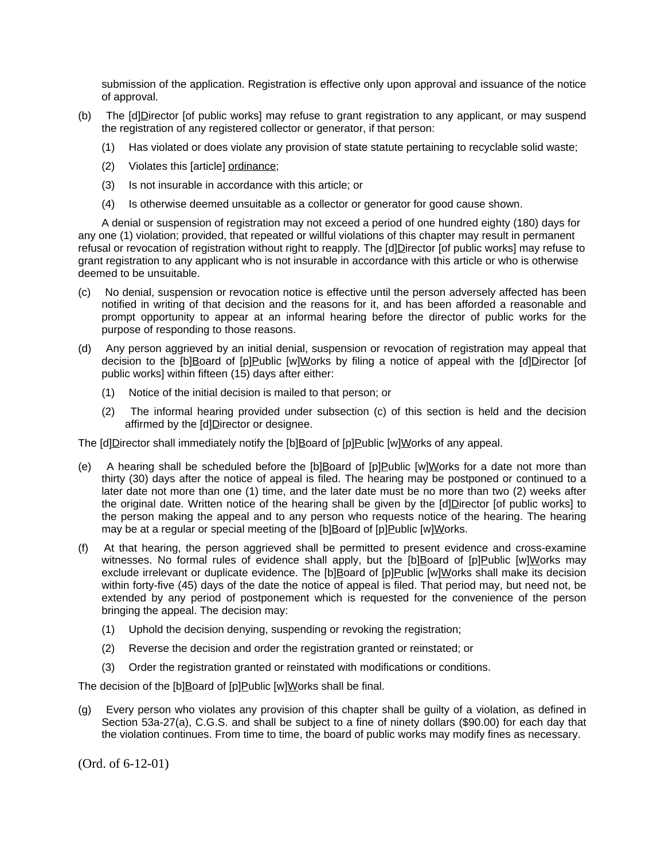submission of the application. Registration is effective only upon approval and issuance of the notice of approval.

- (b) The [d]Director [of public works] may refuse to grant registration to any applicant, or may suspend the registration of any registered collector or generator, if that person:
	- (1) Has violated or does violate any provision of state statute pertaining to recyclable solid waste;
	- (2) Violates this [article] ordinance;
	- (3) Is not insurable in accordance with this article; or
	- (4) Is otherwise deemed unsuitable as a collector or generator for good cause shown.

A denial or suspension of registration may not exceed a period of one hundred eighty (180) days for any one (1) violation; provided, that repeated or willful violations of this chapter may result in permanent refusal or revocation of registration without right to reapply. The [d]Director [of public works] may refuse to grant registration to any applicant who is not insurable in accordance with this article or who is otherwise deemed to be unsuitable.

- (c) No denial, suspension or revocation notice is effective until the person adversely affected has been notified in writing of that decision and the reasons for it, and has been afforded a reasonable and prompt opportunity to appear at an informal hearing before the director of public works for the purpose of responding to those reasons.
- (d) Any person aggrieved by an initial denial, suspension or revocation of registration may appeal that decision to the [b]Board of [p]Public [w]Works by filing a notice of appeal with the [d]Director [of public works] within fifteen (15) days after either:
	- (1) Notice of the initial decision is mailed to that person; or
	- (2) The informal hearing provided under subsection (c) of this section is held and the decision affirmed by the [d]Director or designee.

The [d]Director shall immediately notify the [b]Board of [p]Public [w]Works of any appeal.

- (e) A hearing shall be scheduled before the  $[b]$ Board of  $[p]$ Public  $[w]$ Works for a date not more than thirty (30) days after the notice of appeal is filed. The hearing may be postponed or continued to a later date not more than one (1) time, and the later date must be no more than two (2) weeks after the original date. Written notice of the hearing shall be given by the [d]Director [of public works] to the person making the appeal and to any person who requests notice of the hearing. The hearing may be at a regular or special meeting of the [b]Board of [p]Public [w]Works.
- (f) At that hearing, the person aggrieved shall be permitted to present evidence and cross-examine witnesses. No formal rules of evidence shall apply, but the [b]Board of [p]Public [w]Works may exclude irrelevant or duplicate evidence. The [b]Board of [p]Public [w]Works shall make its decision within forty-five (45) days of the date the notice of appeal is filed. That period may, but need not, be extended by any period of postponement which is requested for the convenience of the person bringing the appeal. The decision may:
	- (1) Uphold the decision denying, suspending or revoking the registration;
	- (2) Reverse the decision and order the registration granted or reinstated; or
	- (3) Order the registration granted or reinstated with modifications or conditions.

The decision of the [b]Board of [p]Public [w]Works shall be final.

(g) Every person who violates any provision of this chapter shall be guilty of a violation, as defined in Section 53a-27(a), C.G.S. and shall be subject to a fine of ninety dollars (\$90.00) for each day that the violation continues. From time to time, the board of public works may modify fines as necessary.

(Ord. of 6-12-01)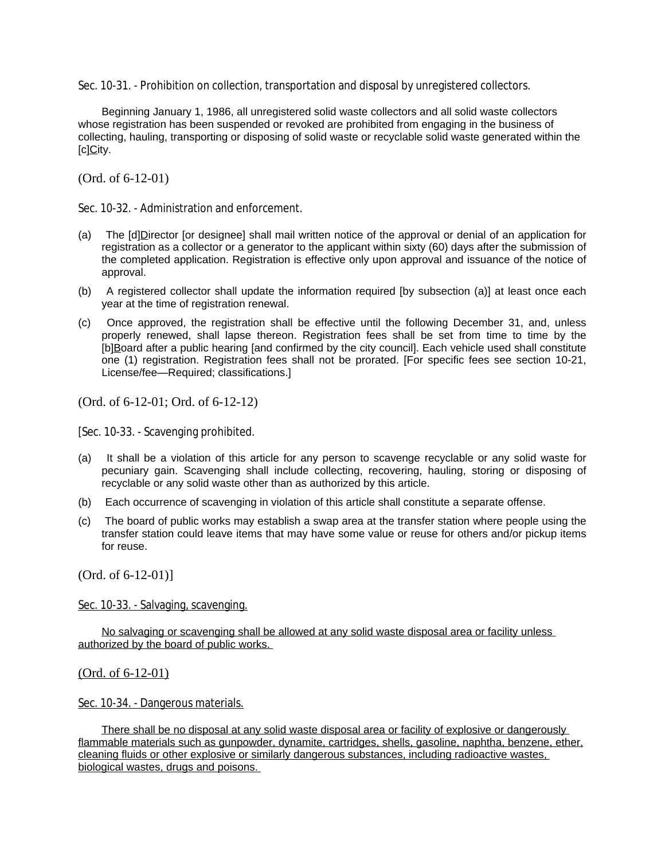Sec. 10-31. - Prohibition on collection, transportation and disposal by unregistered collectors.

Beginning January 1, 1986, all unregistered solid waste collectors and all solid waste collectors whose registration has been suspended or revoked are prohibited from engaging in the business of collecting, hauling, transporting or disposing of solid waste or recyclable solid waste generated within the [c]City.

(Ord. of 6-12-01)

Sec. 10-32. - Administration and enforcement.

- (a) The [d]Director [or designee] shall mail written notice of the approval or denial of an application for registration as a collector or a generator to the applicant within sixty (60) days after the submission of the completed application. Registration is effective only upon approval and issuance of the notice of approval.
- (b) A registered collector shall update the information required [by subsection (a)] at least once each year at the time of registration renewal.
- (c) Once approved, the registration shall be effective until the following December 31, and, unless properly renewed, shall lapse thereon. Registration fees shall be set from time to time by the [b]Board after a public hearing [and confirmed by the city council]. Each vehicle used shall constitute one (1) registration. Registration fees shall not be prorated. [For specific fees see section 10-21, License/fee—Required; classifications.]

(Ord. of 6-12-01; Ord. of 6-12-12)

[Sec. 10-33. - Scavenging prohibited.

- (a) It shall be a violation of this article for any person to scavenge recyclable or any solid waste for pecuniary gain. Scavenging shall include collecting, recovering, hauling, storing or disposing of recyclable or any solid waste other than as authorized by this article.
- (b) Each occurrence of scavenging in violation of this article shall constitute a separate offense.
- (c) The board of public works may establish a swap area at the transfer station where people using the transfer station could leave items that may have some value or reuse for others and/or pickup items for reuse.

(Ord. of 6-12-01)]

Sec. 10-33. - Salvaging, scavenging.

No salvaging or scavenging shall be allowed at any solid waste disposal area or facility unless authorized by the board of public works.

(Ord. of 6-12-01)

Sec. 10-34. - Dangerous materials.

There shall be no disposal at any solid waste disposal area or facility of explosive or dangerously flammable materials such as gunpowder, dynamite, cartridges, shells, gasoline, naphtha, benzene, ether, cleaning fluids or other explosive or similarly dangerous substances, including radioactive wastes, biological wastes, drugs and poisons.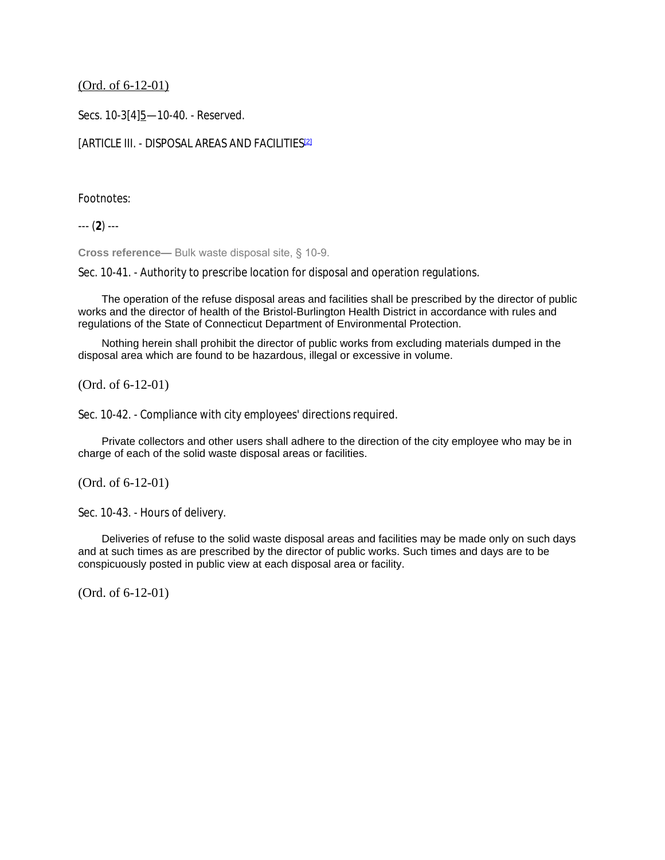## (Ord. of 6-12-01)

Secs. 10-3[4]5-10-40. - Reserved.

## [ARTICLE III. - DISPOSAL AREAS AND FACILITIES<sup>[2]</sup>

### Footnotes:

--- (**2**) ---

**Cross reference—** Bulk waste disposal site, § 10-9.

Sec. 10-41. - Authority to prescribe location for disposal and operation regulations.

The operation of the refuse disposal areas and facilities shall be prescribed by the director of public works and the director of health of the Bristol-Burlington Health District in accordance with rules and regulations of the State of Connecticut Department of Environmental Protection.

Nothing herein shall prohibit the director of public works from excluding materials dumped in the disposal area which are found to be hazardous, illegal or excessive in volume.

(Ord. of 6-12-01)

Sec. 10-42. - Compliance with city employees' directions required.

Private collectors and other users shall adhere to the direction of the city employee who may be in charge of each of the solid waste disposal areas or facilities.

(Ord. of 6-12-01)

```
Sec. 10-43. - Hours of delivery.
```
Deliveries of refuse to the solid waste disposal areas and facilities may be made only on such days and at such times as are prescribed by the director of public works. Such times and days are to be conspicuously posted in public view at each disposal area or facility.

(Ord. of 6-12-01)